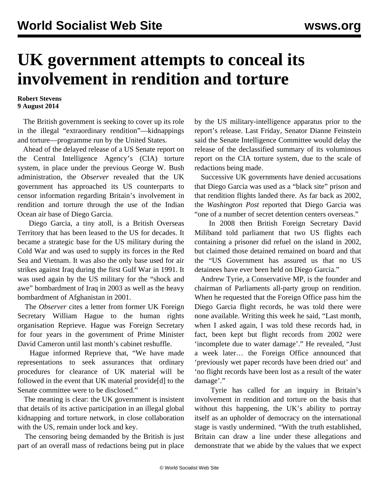## **UK government attempts to conceal its involvement in rendition and torture**

## **Robert Stevens 9 August 2014**

 The British government is seeking to cover up its role in the illegal "extraordinary rendition"—kidnappings and torture—programme run by the United States.

 Ahead of the delayed release of a US Senate report on the Central Intelligence Agency's (CIA) torture system, in place under the previous George W. Bush administration, the *Observer* revealed that the UK government has approached its US counterparts to censor information regarding Britain's involvement in rendition and torture through the use of the Indian Ocean air base of Diego Garcia.

 Diego Garcia, a tiny atoll, is a British Overseas Territory that has been leased to the US for decades. It became a strategic base for the US military during the Cold War and was used to supply its forces in the Red Sea and Vietnam. It was also the only base used for air strikes against Iraq during the first Gulf War in 1991. It was used again by the US military for the "shock and awe" bombardment of Iraq in 2003 as well as the heavy bombardment of Afghanistan in 2001.

 The *Observer* cites a letter from former UK Foreign Secretary William Hague to the human rights organisation Reprieve. Hague was Foreign Secretary for four years in the government of Prime Minister David Cameron until last month's cabinet reshuffle.

 Hague informed Reprieve that, "We have made representations to seek assurances that ordinary procedures for clearance of UK material will be followed in the event that UK material provide[d] to the Senate committee were to be disclosed."

 The meaning is clear: the UK government is insistent that details of its active participation in an illegal global kidnapping and torture network, in close collaboration with the US, remain under lock and key.

 The censoring being demanded by the British is just part of an overall mass of redactions being put in place by the US military-intelligence apparatus prior to the report's release. Last Friday, Senator Dianne Feinstein said the Senate Intelligence Committee would [delay](/en/articles/2014/08/06/tort-a06.html) the release of the declassified summary of its voluminous report on the CIA torture system, due to the scale of redactions being made.

 Successive UK governments have denied accusations that Diego Garcia was used as a "black site" prison and that rendition flights landed there. As far back as 2002, the *Washington Post* reported that Diego Garcia was "one of a number of secret detention centers overseas."

 In 2008 then British Foreign Secretary David Miliband told parliament that two US flights each containing a prisoner did refuel on the island in 2002, but claimed those detained remained on board and that the "US Government has assured us that no US detainees have ever been held on Diego Garcia."

 Andrew Tyrie, a Conservative MP, is the founder and chairman of Parliaments all-party group on rendition. When he requested that the Foreign Office pass him the Diego Garcia flight records, he was told there were none available. Writing this week he said, "Last month, when I asked again, I was told these records had, in fact, been kept but flight records from 2002 were 'incomplete due to water damage'." He revealed, "Just a week later… the Foreign Office announced that 'previously wet paper records have been dried out' and 'no flight records have been lost as a result of the water damage'."

 Tyrie has called for an inquiry in Britain's involvement in rendition and torture on the basis that without this happening, the UK's ability to portray itself as an upholder of democracy on the international stage is vastly undermined. "With the truth established, Britain can draw a line under these allegations and demonstrate that we abide by the values that we expect